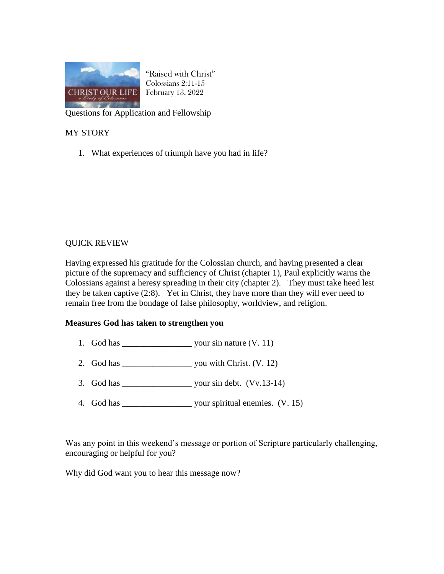

"Raised with Christ" Colossians 2:11-15 February 13, 2022

Questions for Application and Fellowship

## MY STORY

1. What experiences of triumph have you had in life?

## QUICK REVIEW

Having expressed his gratitude for the Colossian church, and having presented a clear picture of the supremacy and sufficiency of Christ (chapter 1), Paul explicitly warns the Colossians against a heresy spreading in their city (chapter 2). They must take heed lest they be taken captive (2:8). Yet in Christ, they have more than they will ever need to remain free from the bondage of false philosophy, worldview, and religion.

## **Measures God has taken to strengthen you**

- 1. God has  $\frac{1}{2}$  your sin nature (V. 11)
- 2. God has  $\frac{1}{2}$  you with Christ. (V. 12)
- 3. God has  $\frac{1}{2}$  your sin debt. (Vv.13-14)
- 4. God has \_\_\_\_\_\_\_\_\_\_\_\_\_\_\_\_\_\_\_\_\_ your spiritual enemies.  $(V. 15)$

Was any point in this weekend's message or portion of Scripture particularly challenging, encouraging or helpful for you?

Why did God want you to hear this message now?